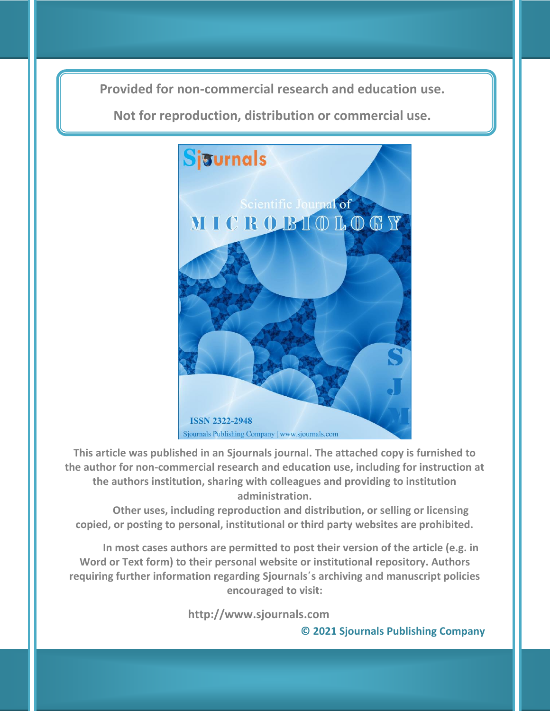**Provided for non-commercial research and education use. Provided for non-commercial research and education use.**

**Not for reproduction, distribution or commercial use. Not for reproduction, distribution or commercial use.**



**This article was published in an Sjournals journal. The attached copy is furnished to the author for non-commercial research and education use, including for instruction at the authors institution, sharing with colleagues and providing to institution administration.**

**Other uses, including reproduction and distribution, or selling or licensing copied, or posting to personal, institutional or third party websites are prohibited.**

**In most cases authors are permitted to post their version of the article (e.g. in Word or Text form) to their personal website or institutional repository. Authors requiring further information regarding Sjournals΄s archiving and manuscript policies encouraged to visit:**

 **http://www.sjournals.com** 

**© 2021 Sjournals Publishing Company**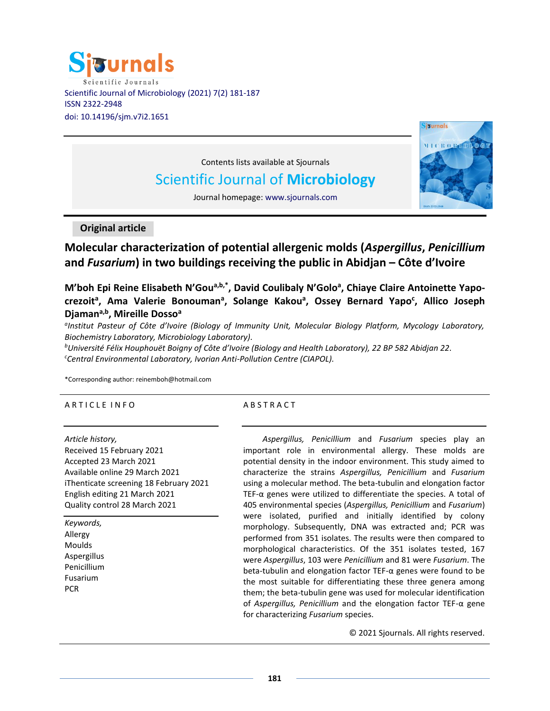



Contents lists available at Sjournals

# Scientific Journal of **Microbiology**

Journal homepage: www.sjournals.com

**Original article**

**Molecular characterization of potential allergenic molds (***Aspergillus***,** *Penicillium* **and** *Fusarium***) in two buildings receiving the public in Abidjan – Côte d'Ivoire**

**M'boh Epi Reine Elisabeth N'Goua,b,\*, David Coulibaly N'Golo<sup>a</sup> , Chiaye Claire Antoinette Yapocrezoit<sup>a</sup> , Ama Valerie Bonouman<sup>a</sup> , Solange Kakou<sup>a</sup> , Ossey Bernard Yapo<sup>c</sup> , Allico Joseph Djamana,b, Mireille Dosso<sup>a</sup>**

*a Institut Pasteur of Côte d'Ivoire (Biology of Immunity Unit, Molecular Biology Platform, Mycology Laboratory, Biochemistry Laboratory, Microbiology Laboratory).*

*<sup>b</sup>Université Félix Houphouët Boigny of Côte d'Ivoire (Biology and Health Laboratory), 22 BP 582 Abidjan 22. <sup>c</sup>Central Environmental Laboratory, Ivorian Anti-Pollution Centre (CIAPOL).*

\*Corresponding author: [reinemboh@hotmail.com](mailto:reinemboh@hotmail.com)

# A R T I C L E IN FO

# A B S T R A C T

*Article history,* Received 15 February 2021 Accepted 23 March 2021 Available online 29 March 2021 iThenticate screening 18 February 2021 English editing 21 March 2021 Quality control 28 March 2021

*Keywords,* Allergy Moulds Aspergillus Penicillium Fusarium **PCR** 

*Aspergillus, Penicillium* and *Fusarium* species play an important role in environmental allergy. These molds are potential density in the indoor environment. This study aimed to characterize the strains *Aspergillus, Penicillium* and *Fusarium*  using a molecular method. The beta-tubulin and elongation factor TEF-α genes were utilized to differentiate the species. A total of 405 environmental species (*Aspergillus, Penicillium* and *Fusarium*) were isolated, purified and initially identified by colony morphology. Subsequently, DNA was extracted and; PCR was performed from 351 isolates. The results were then compared to morphological characteristics. Of the 351 isolates tested, 167 were *Aspergillus*, 103 were *Penicillium* and 81 were *Fusarium*. The beta-tubulin and elongation factor TEF-α genes were found to be the most suitable for differentiating these three genera among them; the beta-tubulin gene was used for molecular identification of *Aspergillus, Penicillium* and the elongation factor TEF-α gene for characterizing *Fusarium* species.

© 2021 Sjournals. All rights reserved.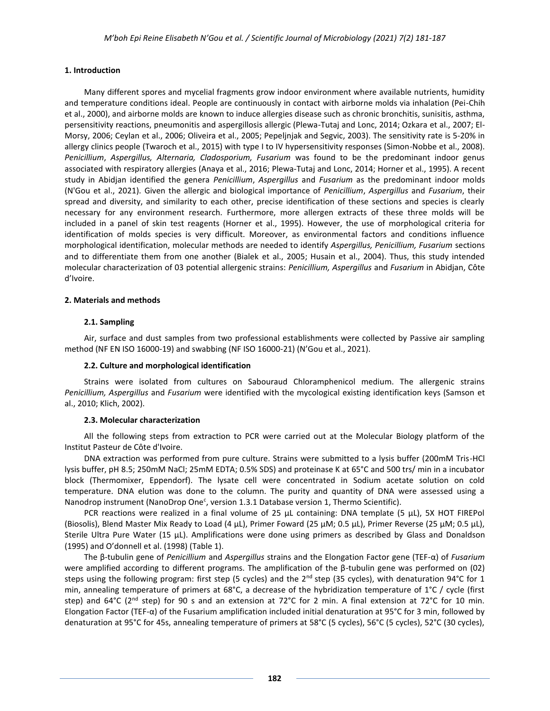# **1. Introduction**

Many different spores and mycelial fragments grow indoor environment where available nutrients, humidity and temperature conditions ideal. People are continuously in contact with airborne molds via inhalation (Pei-Chih et al., 2000), and airborne molds are known to induce allergies disease such as chronic bronchitis, sunisitis, asthma, persensitivity reactions, pneumonitis and aspergillosis allergic (Plewa-Tutaj and Lonc, 2014; Ozkara et al., 2007; El-Morsy, 2006; Ceylan et al., 2006; Oliveira et al., 2005; Pepeljnjak and Segvic, 2003). The sensitivity rate is 5-20% in allergy clinics people (Twaroch et al., 2015) with type I to IV hypersensitivity responses (Simon-Nobbe et al., 2008). *Penicillium*, *Aspergillus, Alternaria, Cladosporium, Fusarium* was found to be the predominant indoor genus associated with respiratory allergies (Anaya et al., 2016; Plewa-Tutaj and Lonc, 2014; Horner et al., 1995). A recent study in Abidjan identified the genera *Penicillium*, *Aspergillus* and *Fusarium* as the predominant indoor molds (N'Gou et al., 2021). Given the allergic and biological importance of *Penicillium*, *Aspergillus* and *Fusarium*, their spread and diversity, and similarity to each other, precise identification of these sections and species is clearly necessary for any environment research. Furthermore, more allergen extracts of these three molds will be included in a panel of skin test reagents (Horner et al., 1995). However, the use of morphological criteria for identification of molds species is very difficult. Moreover, as environmental factors and conditions influence morphological identification, molecular methods are needed to identify *Aspergillus, Penicillium, Fusarium* sections and to differentiate them from one another (Bialek et al., 2005; Husain et al., 2004). Thus, this study intended molecular characterization of 03 potential allergenic strains: *Penicillium, Aspergillus* and *Fusarium* in Abidjan, Côte d'Ivoire.

## **2. Materials and methods**

## **2.1. Sampling**

Air, surface and dust samples from two professional establishments were collected by Passive air sampling method (NF EN ISO 16000-19) and swabbing (NF ISO 16000-21) (N'Gou et al., 2021).

# **2.2. Culture and morphological identification**

Strains were isolated from cultures on Sabouraud Chloramphenicol medium. The allergenic strains *Penicillium, Aspergillus* and *Fusarium* were identified with the mycological existing identification keys (Samson et al., 2010; Klich, 2002).

# **2.3. Molecular characterization**

All the following steps from extraction to PCR were carried out at the Molecular Biology platform of the Institut Pasteur de Côte d'Ivoire.

DNA extraction was performed from pure culture. Strains were submitted to a lysis buffer (200mM Tris-HCl lysis buffer, pH 8.5; 250mM NaCl; 25mM EDTA; 0.5% SDS) and proteinase K at 65°C and 500 trs/ min in a incubator block (Thermomixer, Eppendorf). The lysate cell were concentrated in Sodium acetate solution on cold temperature. DNA elution was done to the column. The purity and quantity of DNA were assessed using a Nanodrop instrument (NanoDrop One<sup>c</sup>, version 1.3.1 Database version 1, Thermo Scientific).

PCR reactions were realized in a final volume of 25 µL containing: DNA template (5 µL), 5X HOT FIREPol (Biosolis), Blend Master Mix Ready to Load (4  $\mu$ L), Primer Foward (25  $\mu$ M; 0.5  $\mu$ L), Primer Reverse (25  $\mu$ M; 0.5  $\mu$ L), Sterile Ultra Pure Water (15 µL). Amplifications were done using primers as described by Glass and Donaldson (1995) and O'donnell et al. (1998) (Table 1).

The β-tubulin gene of *Penicillium* and *Aspergillus* strains and the Elongation Factor gene (TEF-α) of *Fusarium* were amplified according to different programs. The amplification of the β-tubulin gene was performed on (02) steps using the following program: first step (5 cycles) and the  $2^{nd}$  step (35 cycles), with denaturation 94°C for 1 min, annealing temperature of primers at 68°C, a decrease of the hybridization temperature of 1°C / cycle (first step) and  $64^{\circ}$ C ( $2^{\text{nd}}$  step) for 90 s and an extension at 72 $^{\circ}$ C for 2 min. A final extension at 72 $^{\circ}$ C for 10 min. Elongation Factor (TEF-α) of the Fusarium amplification included initial denaturation at 95°C for 3 min, followed by denaturation at 95°C for 45s, annealing temperature of primers at 58°C (5 cycles), 56°C (5 cycles), 52°C (30 cycles),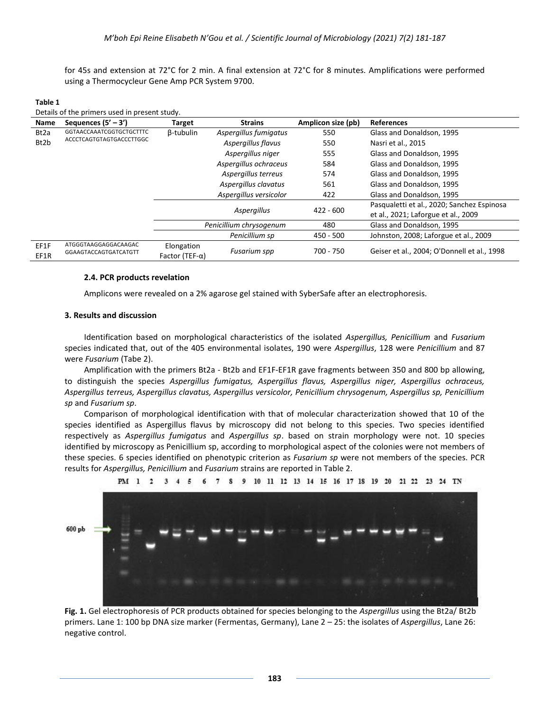for 45s and extension at 72°C for 2 min. A final extension at 72°C for 8 minutes. Amplifications were performed using a Thermocycleur Gene Amp PCR System 9700.

| Details of the primers used in present study. |                                                |                                           |                        |                                            |                                             |  |
|-----------------------------------------------|------------------------------------------------|-------------------------------------------|------------------------|--------------------------------------------|---------------------------------------------|--|
| Name                                          | Sequences $(5' - 3')$                          | <b>Target</b>                             | <b>Strains</b>         | Amplicon size (pb)                         | <b>References</b>                           |  |
| Bt2a                                          | <b>GGTAACCAAATCGGTGCTGCTTTC</b>                | <b>B-tubulin</b><br>Aspergillus fumigatus |                        | 550                                        | Glass and Donaldson, 1995                   |  |
| Bt2b                                          | ACCCTCAGTGTAGTGACCCTTGGC<br>Aspergillus flavus |                                           | 550                    | Nasri et al., 2015                         |                                             |  |
|                                               |                                                |                                           | Aspergillus niger      | 555                                        | Glass and Donaldson, 1995                   |  |
|                                               |                                                | Aspergillus ochraceus                     |                        | 584                                        | Glass and Donaldson, 1995                   |  |
|                                               | Aspergillus terreus<br>574                     |                                           |                        | Glass and Donaldson, 1995                  |                                             |  |
|                                               |                                                |                                           | Aspergillus clavatus   | 561                                        | Glass and Donaldson, 1995                   |  |
|                                               |                                                |                                           | Aspergillus versicolor | 422                                        | Glass and Donaldson, 1995                   |  |
|                                               |                                                |                                           |                        | Pasqualetti et al., 2020; Sanchez Espinosa |                                             |  |
|                                               |                                                |                                           | Aspergillus            | 422 - 600                                  | et al., 2021; Laforgue et al., 2009         |  |
|                                               |                                                | Penicillium chrysogenum                   |                        | 480                                        | Glass and Donaldson, 1995                   |  |
|                                               |                                                |                                           | Penicillium sp         | 450 - 500                                  | Johnston, 2008; Laforgue et al., 2009       |  |
| EF1F<br>EF1R                                  | ATGGGTAAGGAGGACAAGAC<br>GGAAGTACCAGTGATCATGTT  | Elongation<br>Factor (TEF- $\alpha$ )     | <b>Fusarium spp</b>    | 700 - 750                                  | Geiser et al., 2004; O'Donnell et al., 1998 |  |

#### **Table 1**  Details of the primers used in present study.

#### **2.4. PCR products revelation**

Amplicons were revealed on a 2% agarose gel stained with SyberSafe after an electrophoresis.

## **3. Results and discussion**

Identification based on morphological characteristics of the isolated *Aspergillus, Penicillium* and *Fusarium* species indicated that, out of the 405 environmental isolates, 190 were *Aspergillus*, 128 were *Penicillium* and 87 were *Fusarium* (Tabe 2).

Amplification with the primers Bt2a - Bt2b and EF1F-EF1R gave fragments between 350 and 800 bp allowing, to distinguish the species *Aspergillus fumigatus, Aspergillus flavus, Aspergillus niger, Aspergillus ochraceus, Aspergillus terreus, Aspergillus clavatus, Aspergillus versicolor, Penicillium chrysogenum, Aspergillus sp, Penicillium sp* and *Fusarium sp*.

Comparison of morphological identification with that of molecular characterization showed that 10 of the species identified as Aspergillus flavus by microscopy did not belong to this species. Two species identified respectively as *Aspergillus fumigatus* and *Aspergillus sp*. based on strain morphology were not. 10 species identified by microscopy as Penicillium sp, according to morphological aspect of the colonies were not members of these species. 6 species identified on phenotypic criterion as *Fusarium sp* were not members of the species. PCR results for *Aspergillus, Penicillium* and *Fusarium* strains are reported in Table 2.





**Fig. 1.** Gel electrophoresis of PCR products obtained for species belonging to the *Aspergillus* using the Bt2a/ Bt2b primers. Lane 1: 100 bp DNA size marker (Fermentas, Germany), Lane 2 – 25: the isolates of *Aspergillus*, Lane 26: negative control.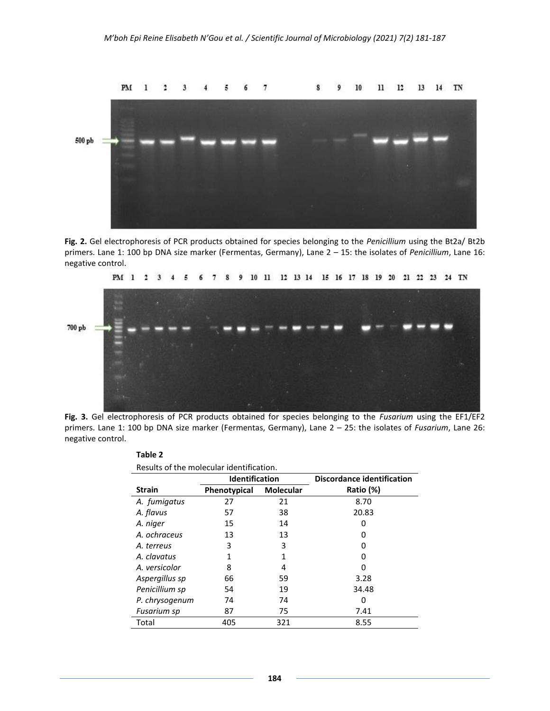

**Fig. 2.** Gel electrophoresis of PCR products obtained for species belonging to the *Penicillium* using the Bt2a/ Bt2b primers. Lane 1: 100 bp DNA size marker (Fermentas, Germany), Lane 2 – 15: the isolates of *Penicillium*, Lane 16: negative control.



**Fig. 3.** Gel electrophoresis of PCR products obtained for species belonging to the *Fusarium* using the EF1/EF2 primers. Lane 1: 100 bp DNA size marker (Fermentas, Germany), Lane 2 – 25: the isolates of *Fusarium*, Lane 26: negative control.

| Results of the molecular identification. |                       |                  |                                   |  |  |  |  |
|------------------------------------------|-----------------------|------------------|-----------------------------------|--|--|--|--|
|                                          | <b>Identification</b> |                  | <b>Discordance identification</b> |  |  |  |  |
| <b>Strain</b>                            | Phenotypical          | <b>Molecular</b> | Ratio (%)                         |  |  |  |  |
| A. fumigatus                             | 27                    | 21               | 8.70                              |  |  |  |  |
| A. flavus                                | 57                    | 38               | 20.83                             |  |  |  |  |
| A. niger                                 | 15                    | 14               | O                                 |  |  |  |  |
| A. ochraceus                             | 13                    | 13               | 0                                 |  |  |  |  |
| A. terreus                               | 3                     | 3                | O                                 |  |  |  |  |
| A. clavatus                              | 1                     |                  | O                                 |  |  |  |  |
| A. versicolor                            | 8                     | 4                | Ω                                 |  |  |  |  |
| Aspergillus sp                           | 66                    | 59               | 3.28                              |  |  |  |  |
| Penicillium sp                           | 54                    | 19               | 34.48                             |  |  |  |  |
| P. chrysogenum                           | 74                    | 74               | 0                                 |  |  |  |  |
| Fusarium sp                              | 87                    | 75               | 7.41                              |  |  |  |  |
| Total                                    | 405                   | 321              | 8.55                              |  |  |  |  |

**Table 2**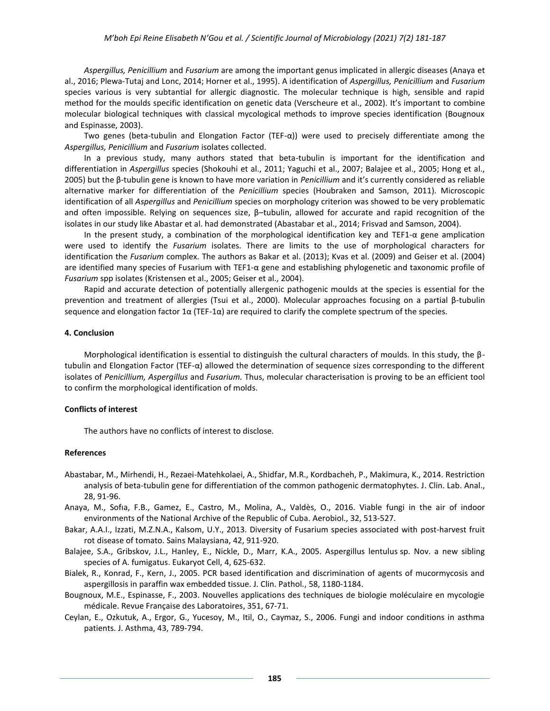*Aspergillus, Penicillium* and *Fusarium* are among the important genus implicated in allergic diseases (Anaya et al., 2016; Plewa-Tutaj and Lonc, 2014; Horner et al., 1995). A identification of *Aspergillus, Penicillium* and *Fusarium*  species various is very subtantial for allergic diagnostic. The molecular technique is high, sensible and rapid method for the moulds specific identification on genetic data (Verscheure et al., 2002). It's important to combine molecular biological techniques with classical mycological methods to improve species identification (Bougnoux and Espinasse, 2003).

Two genes (beta-tubulin and Elongation Factor (TEF- $\alpha$ )) were used to precisely differentiate among the *Aspergillus, Penicillium* and *Fusarium* isolates collected.

In a previous study, many authors stated that beta-tubulin is important for the identification and differentiation in *Aspergillus* species (Shokouhi et al., 2011; Yaguchi et al., 2007; Balajee et al., 2005; Hong et al., 2005) but the β-tubulin gene is known to have more variation in *Penicillium* and it's currently considered as reliable alternative marker for differentiation of the *Penicillium* species (Houbraken and Samson, 2011). Microscopic identification of all *Aspergillus* and *Penicillium* species on morphology criterion was showed to be very problematic and often impossible. Relying on sequences size, β–tubulin, allowed for accurate and rapid recognition of the isolates in our study like Abastar et al. had demonstrated (Abastabar et al., 2014; Frisvad and Samson, 2004).

In the present study, a combination of the morphological identification key and TEF1-α gene amplication were used to identify the *Fusarium* isolates. There are limits to the use of morphological characters for identification the *Fusarium* complex. The authors as Bakar et al. (2013); Kvas et al. (2009) and Geiser et al. (2004) are identified many species of Fusarium with TEF1-α gene and establishing phylogenetic and taxonomic profile of *Fusarium* spp isolates (Kristensen et al., 2005; Geiser et al., 2004).

Rapid and accurate detection of potentially allergenic pathogenic moulds at the species is essential for the prevention and treatment of allergies (Tsui et al., 2000). Molecular approaches focusing on a partial β-tubulin sequence and elongation factor 1 $\alpha$  (TEF-1 $\alpha$ ) are required to clarify the complete spectrum of the species.

### **4. Conclusion**

Morphological identification is essential to distinguish the cultural characters of moulds. In this study, the βtubulin and Elongation Factor (TEF-α) allowed the determination of sequence sizes corresponding to the different isolates of *Penicillium, Aspergillus* and *Fusarium.* Thus, molecular characterisation is proving to be an efficient tool to confirm the morphological identification of molds.

#### **Conflicts of interest**

The authors have no conflicts of interest to disclose.

#### **References**

- Abastabar, M., Mirhendi, H., Rezaei-Matehkolaei, A., Shidfar, M.R., Kordbacheh, P., Makimura, K., 2014. Restriction analysis of beta-tubulin gene for differentiation of the common pathogenic dermatophytes. J. Clin. Lab. Anal., 28, 91-96.
- Anaya, M., Sofıa, F.B., Gamez, E., Castro, M., Molina, A., Valdès, O., 2016. Viable fungi in the air of indoor environments of the National Archive of the Republic of Cuba. Aerobiol., 32, 513-527.
- Bakar, A.A.I., Izzati, M.Z.N.A., Kalsom, U.Y., 2013. Diversity of Fusarium species associated with post-harvest fruit rot disease of tomato. Sains Malaysiana, 42, 911-920.
- Balajee, S.A., Gribskov, J.L., Hanley, E., Nickle, D., Marr, K.A., 2005. Aspergillus lentulus sp. Nov. a new sibling species of A. fumigatus. Eukaryot Cell, 4, 625-632.
- Bialek, R., Konrad, F., Kern, J., 2005. PCR based identification and discrimination of agents of mucormycosis and aspergillosis in paraffin wax embedded tissue. J. Clin. Pathol., 58, 1180-1184.
- Bougnoux, M.E., Espinasse, F., 2003. Nouvelles applications des techniques de biologie moléculaire en mycologie médicale. Revue Française des Laboratoires, 351, 67-71.
- Ceylan, E., Ozkutuk, A., Ergor, G., Yucesoy, M., Itil, O., Caymaz, S., 2006. Fungi and indoor conditions in asthma patients. J. Asthma, 43, 789-794.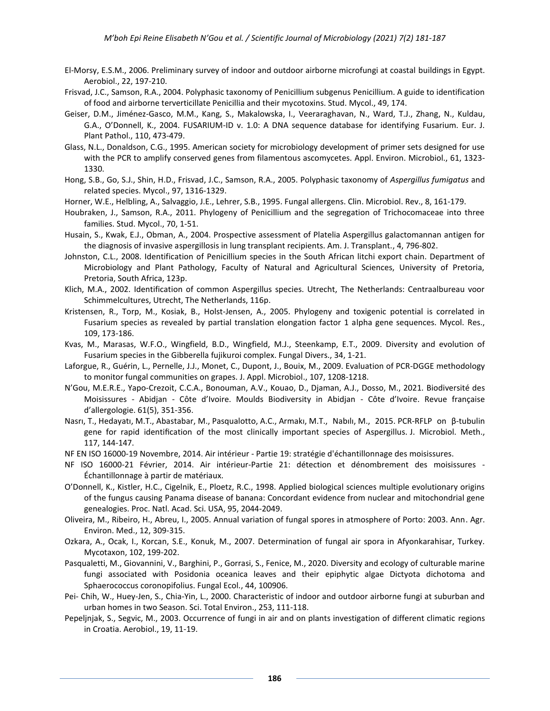- El-Morsy, E.S.M., 2006. Preliminary survey of indoor and outdoor airborne microfungi at coastal buildings in Egypt. Aerobiol., 22, 197-210.
- Frisvad, J.C., Samson, R.A., 2004. Polyphasic taxonomy of Penicillium subgenus Penicillium. A guide to identification of food and airborne terverticillate Penicillia and their mycotoxins. Stud. Mycol., 49, 174.
- Geiser, D.M., Jiménez-Gasco, M.M., Kang, S., Makalowska, I., Veeraraghavan, N., Ward, T.J., Zhang, N., Kuldau, G.A., O'Donnell, K., 2004. FUSARIUM-ID v. 1.0: A DNA sequence database for identifying Fusarium. Eur. J. Plant Pathol., 110, 473-479.
- Glass, N.L., Donaldson, C.G., 1995. American society for microbiology development of primer sets designed for use with the PCR to amplify conserved genes from filamentous ascomycetes. Appl. Environ. Microbiol., 61, 1323- 1330.
- Hong, S.B., Go, S.J., Shin, H.D., Frisvad, J.C., Samson, R.A., 2005. Polyphasic taxonomy of *Aspergillus fumigatus* and related species. Mycol., 97, 1316-1329.
- Horner, W.E., Helbling, A., Salvaggio, J.E., Lehrer, S.B., 1995. Fungal allergens. Clin. Microbiol. Rev., 8, 161-179.
- Houbraken, J., Samson, R.A., 2011. Phylogeny of Penicillium and the segregation of Trichocomaceae into three families. Stud. Mycol., 70, 1-51.
- Husain, S., Kwak, E.J., Obman, A., 2004. Prospective assessment of Platelia Aspergillus galactomannan antigen for the diagnosis of invasive aspergillosis in lung transplant recipients. Am. J. Transplant., 4, 796-802.
- Johnston, C.L., 2008. Identification of Penicillium species in the South African litchi export chain. Department of Microbiology and Plant Pathology, Faculty of Natural and Agricultural Sciences, University of Pretoria, Pretoria, South Africa, 123p.
- Klich, M.A., 2002. Identification of common Aspergillus species. Utrecht, The Netherlands: Centraalbureau voor Schimmelcultures, Utrecht, The Netherlands, 116p.
- Kristensen, R., Torp, M., Kosiak, B., Holst-Jensen, A., 2005. Phylogeny and toxigenic potential is correlated in Fusarium species as revealed by partial translation elongation factor 1 alpha gene sequences. Mycol. Res., 109, 173-186.
- Kvas, M., Marasas, W.F.O., Wingfield, B.D., Wingfield, M.J., Steenkamp, E.T., 2009. Diversity and evolution of Fusarium species in the Gibberella fujikuroi complex. Fungal Divers., 34, 1-21.
- Laforgue, R., Guérin, L., Pernelle, J.J., Monet, C., Dupont, J., Bouix, M., 2009. Evaluation of PCR-DGGE methodology to monitor fungal communities on grapes. J. Appl. Microbiol., 107, 1208-1218.
- N'Gou, M.E.R.E., Yapo-Crezoit, C.C.A., Bonouman, A.V., Kouao, D., Djaman, A.J., Dosso, M., 2021. Biodiversité des Moisissures - Abidjan - Côte d'Ivoire. Moulds Biodiversity in Abidjan - Côte d'Ivoire. Revue française d'allergologie. 61(5), 351-356.
- Nasrı, T., Hedayatı, M.T., Abastabar, M., Pasqualotto, A.C., Armakı, M.T., Nabılı, M., 2015. PCR-RFLP on β-tubulin gene for rapid identification of the most clinically important species of Aspergillus. J. Microbiol. Meth., 117, 144-147.
- NF EN ISO 16000-19 Novembre, 2014. Air intérieur Partie 19: stratégie d'échantillonnage des moisissures.
- NF ISO 16000-21 Février, 2014. Air intérieur-Partie 21: détection et dénombrement des moisissures Échantillonnage à partir de matériaux.
- O'Donnell, K., Kistler, H.C., Cigelnik, E., Ploetz, R.C., 1998. Applied biological sciences multiple evolutionary origins of the fungus causing Panama disease of banana: Concordant evidence from nuclear and mitochondrial gene genealogies. Proc. Natl. Acad. Sci. USA, 95, 2044-2049.
- Oliveira, M., Ribeiro, H., Abreu, I., 2005. Annual variation of fungal spores in atmosphere of Porto: 2003. Ann. Agr. Environ. Med., 12, 309-315.
- Ozkara, A., Ocak, I., Korcan, S.E., Konuk, M., 2007. Determination of fungal air spora in Afyonkarahisar, Turkey. Mycotaxon, 102, 199-202.
- Pasqualetti, M., Giovannini, V., Barghini, P., Gorrasi, S., Fenice, M., 2020. Diversity and ecology of culturable marine fungi associated with Posidonia oceanica leaves and their epiphytic algae Dictyota dichotoma and Sphaerococcus coronopifolius. Fungal Ecol., 44, 100906.
- Pei- Chih, W., Huey-Jen, S., Chia-Yin, L., 2000. Characteristic of indoor and outdoor airborne fungi at suburban and urban homes in two Season. Sci. Total Environ., 253, 111-118.
- Pepeljnjak, S., Segvic, M., 2003. Occurrence of fungi in air and on plants investigation of different climatic regions in Croatia. Aerobiol., 19, 11-19.